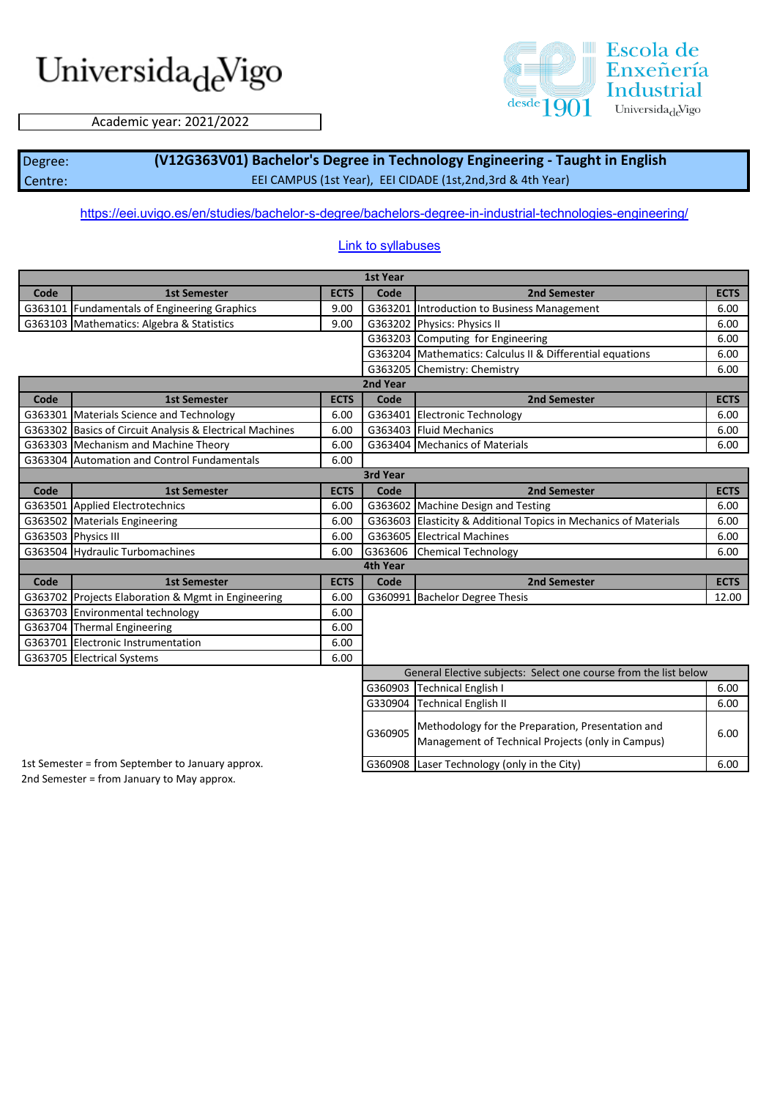

Academic year: 2021/2022

Degree: Centre:

### **(V12G363V01) Bachelor's Degree in Technology Engineering - Taught in English**

EEI CAMPUS (1st Year), EEI CIDADE (1st,2nd,3rd & 4th Year)

#### <https://eei.uvigo.es/en/studies/bachelor-s-degree/bachelors-degree-in-industrial-technologies-engineering/>

|          | <b>1st Year</b>                                          |             |                 |                                                                                                        |             |  |  |
|----------|----------------------------------------------------------|-------------|-----------------|--------------------------------------------------------------------------------------------------------|-------------|--|--|
| Code     | <b>1st Semester</b>                                      | <b>ECTS</b> | Code            | <b>2nd Semester</b>                                                                                    | <b>ECTS</b> |  |  |
|          | G363101 Fundamentals of Engineering Graphics             | 9.00        |                 | G363201 Introduction to Business Management                                                            | 6.00        |  |  |
|          | G363103 Mathematics: Algebra & Statistics                | 9.00        |                 | G363202 Physics: Physics II                                                                            | 6.00        |  |  |
|          |                                                          |             |                 | G363203 Computing for Engineering                                                                      | 6.00        |  |  |
|          |                                                          |             |                 | G363204 Mathematics: Calculus II & Differential equations                                              | 6.00        |  |  |
|          |                                                          |             |                 | G363205 Chemistry: Chemistry                                                                           | 6.00        |  |  |
|          |                                                          |             | 2nd Year        |                                                                                                        |             |  |  |
| Code     | <b>1st Semester</b>                                      | <b>ECTS</b> | Code            | <b>2nd Semester</b>                                                                                    | <b>ECTS</b> |  |  |
|          | G363301 Materials Science and Technology                 | 6.00        |                 | G363401 Electronic Technology                                                                          | 6.00        |  |  |
|          | G363302 Basics of Circuit Analysis & Electrical Machines | 6.00        |                 | G363403 Fluid Mechanics                                                                                | 6.00        |  |  |
|          | G363303 Mechanism and Machine Theory                     | 6.00        |                 | G363404 Mechanics of Materials                                                                         | 6.00        |  |  |
|          | G363304 Automation and Control Fundamentals              | 6.00        |                 |                                                                                                        |             |  |  |
| 3rd Year |                                                          |             |                 |                                                                                                        |             |  |  |
| Code     | <b>1st Semester</b>                                      | <b>ECTS</b> | Code            | <b>2nd Semester</b>                                                                                    | <b>ECTS</b> |  |  |
|          | G363501 Applied Electrotechnics                          | 6.00        |                 | G363602 Machine Design and Testing                                                                     | 6.00        |  |  |
|          | G363502 Materials Engineering                            | 6.00        | G363603         | Elasticity & Additional Topics in Mechanics of Materials                                               | 6.00        |  |  |
|          | G363503 Physics III                                      | 6.00        | G363605         | <b>Electrical Machines</b>                                                                             | 6.00        |  |  |
|          | G363504 Hydraulic Turbomachines                          | 6.00        | G363606         | <b>Chemical Technology</b>                                                                             | 6.00        |  |  |
|          |                                                          |             | <b>4th Year</b> |                                                                                                        |             |  |  |
| Code     | <b>1st Semester</b>                                      | <b>ECTS</b> | Code            | <b>2nd Semester</b>                                                                                    | <b>ECTS</b> |  |  |
|          | G363702 Projects Elaboration & Mgmt in Engineering       | 6.00        |                 | G360991 Bachelor Degree Thesis                                                                         | 12.00       |  |  |
|          | G363703 Environmental technology                         | 6.00        |                 |                                                                                                        |             |  |  |
|          | G363704 Thermal Engineering                              | 6.00        |                 |                                                                                                        |             |  |  |
|          | G363701 Electronic Instrumentation                       | 6.00        |                 |                                                                                                        |             |  |  |
|          | G363705 Electrical Systems                               | 6.00        |                 |                                                                                                        |             |  |  |
|          |                                                          |             |                 | General Elective subjects: Select one course from the list below                                       |             |  |  |
|          |                                                          |             | G360903         | <b>Technical English I</b>                                                                             | 6.00        |  |  |
|          |                                                          |             | G330904         | <b>Technical English II</b>                                                                            | 6.00        |  |  |
|          |                                                          |             | G360905         | Methodology for the Preparation, Presentation and<br>Management of Technical Projects (only in Campus) | 6.00        |  |  |
|          | 1st Semester = from September to January approx.         |             |                 | G360908 Laser Technology (only in the City)                                                            | 6.00        |  |  |

#### [Link to syllabuses](https://secretaria.uvigo.gal/docnet-nuevo/guia_docent/?centre=312&ensenyament=V12G363V01&consulta=assignatures&idioma=eng)

2nd Semester = from January to May approx.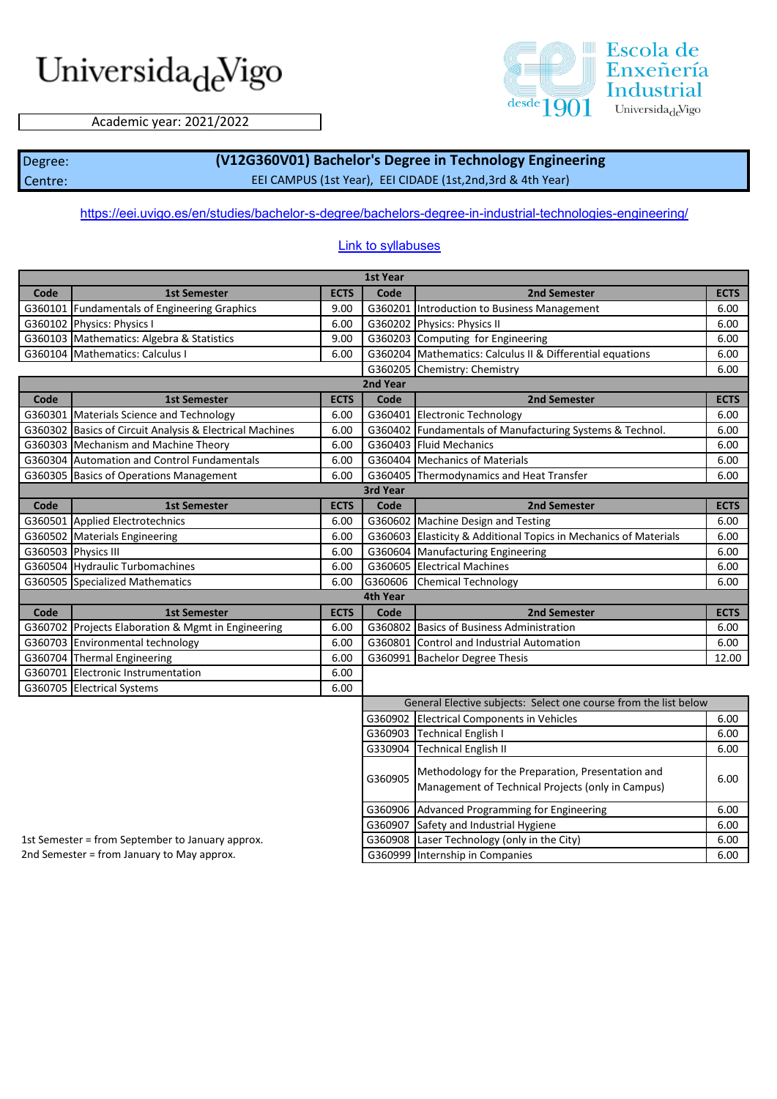

Academic year: 2021/2022

Degree: Centre:

#### **(V12G360V01) Bachelor's Degree in Technology Engineering**

EEI CAMPUS (1st Year), EEI CIDADE (1st,2nd,3rd & 4th Year)

#### <https://eei.uvigo.es/en/studies/bachelor-s-degree/bachelors-degree-in-industrial-technologies-engineering/>

#### [Link to syllabuses](https://secretaria.uvigo.gal/docnet-nuevo/guia_docent/?centre=312&ensenyament=V12G360V01&consulta=assignatures&idioma=eng)

|      | <b>1st Year</b>                                          |             |                 |                                                                  |             |  |  |  |
|------|----------------------------------------------------------|-------------|-----------------|------------------------------------------------------------------|-------------|--|--|--|
| Code | <b>1st Semester</b>                                      | <b>ECTS</b> | Code            | <b>2nd Semester</b>                                              | <b>ECTS</b> |  |  |  |
|      | G360101 Fundamentals of Engineering Graphics             | 9.00        |                 | G360201 Introduction to Business Management                      | 6.00        |  |  |  |
|      | G360102 Physics: Physics I                               | 6.00        |                 | G360202 Physics: Physics II                                      | 6.00        |  |  |  |
|      | G360103 Mathematics: Algebra & Statistics                | 9.00        |                 | G360203 Computing for Engineering                                | 6.00        |  |  |  |
|      | G360104 Mathematics: Calculus I                          | 6.00        |                 | G360204 Mathematics: Calculus II & Differential equations        | 6.00        |  |  |  |
|      |                                                          |             |                 | G360205 Chemistry: Chemistry                                     | 6.00        |  |  |  |
|      |                                                          |             | 2nd Year        |                                                                  |             |  |  |  |
| Code | <b>1st Semester</b>                                      | <b>ECTS</b> | Code            | <b>2nd Semester</b>                                              | <b>ECTS</b> |  |  |  |
|      | G360301 Materials Science and Technology                 | 6.00        |                 | G360401 Electronic Technology                                    | 6.00        |  |  |  |
|      | G360302 Basics of Circuit Analysis & Electrical Machines | 6.00        |                 | G360402 Fundamentals of Manufacturing Systems & Technol.         | 6.00        |  |  |  |
|      | G360303 Mechanism and Machine Theory                     | 6.00        |                 | G360403 Fluid Mechanics                                          | 6.00        |  |  |  |
|      | G360304 Automation and Control Fundamentals              | 6.00        |                 | G360404 Mechanics of Materials                                   | 6.00        |  |  |  |
|      | G360305 Basics of Operations Management                  | 6.00        |                 | G360405 Thermodynamics and Heat Transfer                         | 6.00        |  |  |  |
|      |                                                          |             | 3rd Year        |                                                                  |             |  |  |  |
| Code | <b>1st Semester</b>                                      | <b>ECTS</b> | Code            | <b>2nd Semester</b>                                              | <b>ECTS</b> |  |  |  |
|      | G360501 Applied Electrotechnics                          | 6.00        |                 | G360602 Machine Design and Testing                               | 6.00        |  |  |  |
|      | G360502 Materials Engineering                            | 6.00        |                 | G360603 Elasticity & Additional Topics in Mechanics of Materials | 6.00        |  |  |  |
|      | G360503 Physics III                                      | 6.00        |                 | G360604 Manufacturing Engineering                                | 6.00        |  |  |  |
|      | G360504 Hydraulic Turbomachines                          | 6.00        |                 | G360605 Electrical Machines                                      | 6.00        |  |  |  |
|      | G360505 Specialized Mathematics                          | 6.00        |                 | G360606 Chemical Technology                                      | 6.00        |  |  |  |
|      |                                                          |             | <b>4th Year</b> |                                                                  |             |  |  |  |
| Code | <b>1st Semester</b>                                      | <b>ECTS</b> | Code            | <b>2nd Semester</b>                                              | <b>ECTS</b> |  |  |  |
|      | G360702 Projects Elaboration & Mgmt in Engineering       | 6.00        |                 | G360802 Basics of Business Administration                        | 6.00        |  |  |  |
|      | G360703 Environmental technology                         | 6.00        |                 | G360801 Control and Industrial Automation                        | 6.00        |  |  |  |
|      | G360704 Thermal Engineering                              | 6.00        |                 | G360991 Bachelor Degree Thesis                                   | 12.00       |  |  |  |
|      | G360701 Electronic Instrumentation                       | 6.00        |                 |                                                                  |             |  |  |  |
|      | G360705 Electrical Systems                               | 6.00        |                 |                                                                  |             |  |  |  |
|      |                                                          |             |                 | General Elective subjects: Select one course from the list below |             |  |  |  |

|         | General Elective subjects: Select one course from the list below                                       |      |
|---------|--------------------------------------------------------------------------------------------------------|------|
| G360902 | <b>Electrical Components in Vehicles</b>                                                               | 6.00 |
|         | G360903 Technical English I                                                                            | 6.00 |
| G330904 | <b>Technical English II</b>                                                                            | 6.00 |
| G360905 | Methodology for the Preparation, Presentation and<br>Management of Technical Projects (only in Campus) | 6.00 |
| G360906 | Advanced Programming for Engineering                                                                   | 6.00 |
| G360907 | Safety and Industrial Hygiene                                                                          | 6.00 |
| G360908 | Laser Technology (only in the City)                                                                    | 6.00 |
|         | G360999 Internship in Companies                                                                        | 6.00 |

1st Semester = from September to January approx. 2nd Semester = from January to May approx.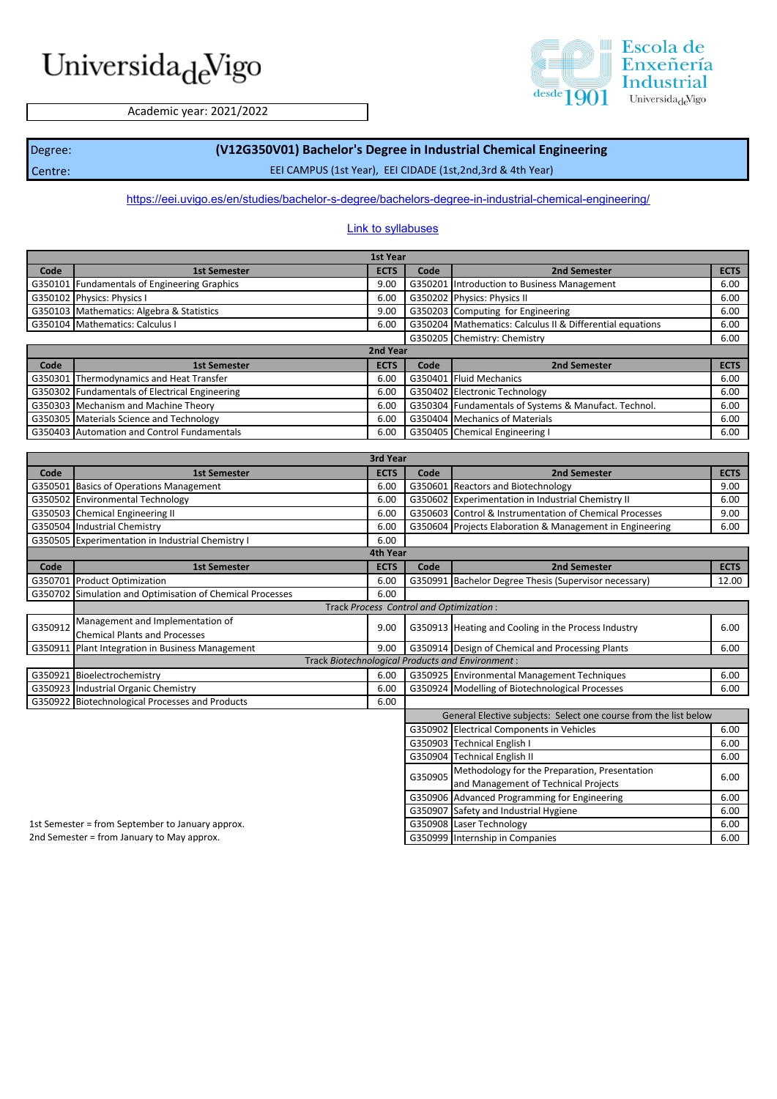

G350906 Advanced Programming for Engineering 6.00 G350907 Safety and Industrial Hygiene 6.00 G350908 Laser Technology 6.00 G350999 Internship in Companies 6.00

Academic year: 2021/2022

Degree: Centre:

**(V12G350V01) Bachelor's Degree in Industrial Chemical Engineering**

EEI CAMPUS (1st Year), EEI CIDADE (1st,2nd,3rd & 4th Year)

<https://eei.uvigo.es/en/studies/bachelor-s-degree/bachelors-degree-in-industrial-chemical-engineering/>

#### [Link to syllabuses](https://secretaria.uvigo.gal/docnet-nuevo/guia_docent/?centre=312&ensenyament=V12G350V01&consulta=assignatures&idioma=eng)

|         | <b>1st Year</b>                                |             |      |                                                           |             |  |  |
|---------|------------------------------------------------|-------------|------|-----------------------------------------------------------|-------------|--|--|
| Code    | <b>1st Semester</b>                            | <b>ECTS</b> | Code | <b>2nd Semester</b>                                       | <b>ECTS</b> |  |  |
| G350101 | Fundamentals of Engineering Graphics           | 9.00        |      | G350201 Introduction to Business Management               | 6.00        |  |  |
|         | G350102 Physics: Physics I                     | 6.00        |      | G350202 Physics: Physics II                               | 6.00        |  |  |
|         | G350103 Mathematics: Algebra & Statistics      | 9.00        |      | G350203 Computing for Engineering                         | 6.00        |  |  |
|         | G350104 Mathematics: Calculus I                | 6.00        |      | G350204 Mathematics: Calculus II & Differential equations | 6.00        |  |  |
|         |                                                |             |      | G350205 Chemistry: Chemistry                              | 6.00        |  |  |
|         |                                                | 2nd Year    |      |                                                           |             |  |  |
| Code    | <b>1st Semester</b>                            | <b>ECTS</b> | Code | 2nd Semester                                              | <b>ECTS</b> |  |  |
|         | G350301 Thermodynamics and Heat Transfer       | 6.00        |      | G350401 Fluid Mechanics                                   | 6.00        |  |  |
|         | G350302 Fundamentals of Electrical Engineering | 6.00        |      | G350402 Electronic Technology                             | 6.00        |  |  |
|         |                                                |             |      |                                                           |             |  |  |
|         | G350303 Mechanism and Machine Theory           | 6.00        |      | G350304 Fundamentals of Systems & Manufact. Technol.      | 6.00        |  |  |
|         | G350305 Materials Science and Technology       | 6.00        |      | G350404 Mechanics of Materials                            | 6.00        |  |  |

|         | 3rd Year                                                  |             |         |                                                                  |             |  |  |  |
|---------|-----------------------------------------------------------|-------------|---------|------------------------------------------------------------------|-------------|--|--|--|
| Code    | <b>1st Semester</b>                                       | <b>ECTS</b> | Code    | 2nd Semester                                                     | <b>ECTS</b> |  |  |  |
| G350501 | <b>Basics of Operations Management</b>                    | 6.00        |         | G350601 Reactors and Biotechnology                               | 9.00        |  |  |  |
|         | G350502 Environmental Technology                          | 6.00        |         | G350602 Experimentation in Industrial Chemistry II               | 6.00        |  |  |  |
|         | G350503 Chemical Engineering II                           | 6.00        |         | G350603 Control & Instrumentation of Chemical Processes          | 9.00        |  |  |  |
|         | G350504 Industrial Chemistry                              | 6.00        |         | G350604 Projects Elaboration & Management in Engineering         | 6.00        |  |  |  |
|         | G350505 Experimentation in Industrial Chemistry I         | 6.00        |         |                                                                  |             |  |  |  |
|         |                                                           | 4th Year    |         |                                                                  |             |  |  |  |
| Code    | <b>1st Semester</b>                                       | <b>ECTS</b> | Code    | 2nd Semester                                                     | <b>ECTS</b> |  |  |  |
| G350701 | <b>Product Optimization</b>                               | 6.00        |         | G350991 Bachelor Degree Thesis (Supervisor necessary)            | 12.00       |  |  |  |
|         | G350702 Simulation and Optimisation of Chemical Processes | 6.00        |         |                                                                  |             |  |  |  |
|         |                                                           |             |         | Track Process Control and Optimization:                          |             |  |  |  |
| G350912 | Management and Implementation of                          | 9.00        |         | G350913 Heating and Cooling in the Process Industry              | 6.00        |  |  |  |
|         | <b>Chemical Plants and Processes</b>                      |             |         |                                                                  |             |  |  |  |
|         | G350911 Plant Integration in Business Management          | 9.00        |         | G350914 Design of Chemical and Processing Plants                 | 6.00        |  |  |  |
|         |                                                           |             |         | Track Biotechnological Products and Environment:                 |             |  |  |  |
|         | G350921 Bioelectrochemistry                               | 6.00        |         | G350925 Environmental Management Techniques                      | 6.00        |  |  |  |
|         | G350923 Industrial Organic Chemistry                      | 6.00        |         | G350924 Modelling of Biotechnological Processes                  | 6.00        |  |  |  |
|         | G350922 Biotechnological Processes and Products           | 6.00        |         |                                                                  |             |  |  |  |
|         |                                                           |             |         | General Elective subjects: Select one course from the list below |             |  |  |  |
|         |                                                           |             |         | G350902 Electrical Components in Vehicles                        | 6.00        |  |  |  |
|         |                                                           |             |         | G350903 Technical English I                                      | 6.00        |  |  |  |
|         |                                                           |             |         | G350904 Technical English II                                     | 6.00        |  |  |  |
|         |                                                           |             | G350905 | Methodology for the Preparation, Presentation                    | 6.00        |  |  |  |
|         |                                                           |             |         | and Management of Technical Projects                             |             |  |  |  |

1st Semester = from September to January approx. 2nd Semester = from January to May approx.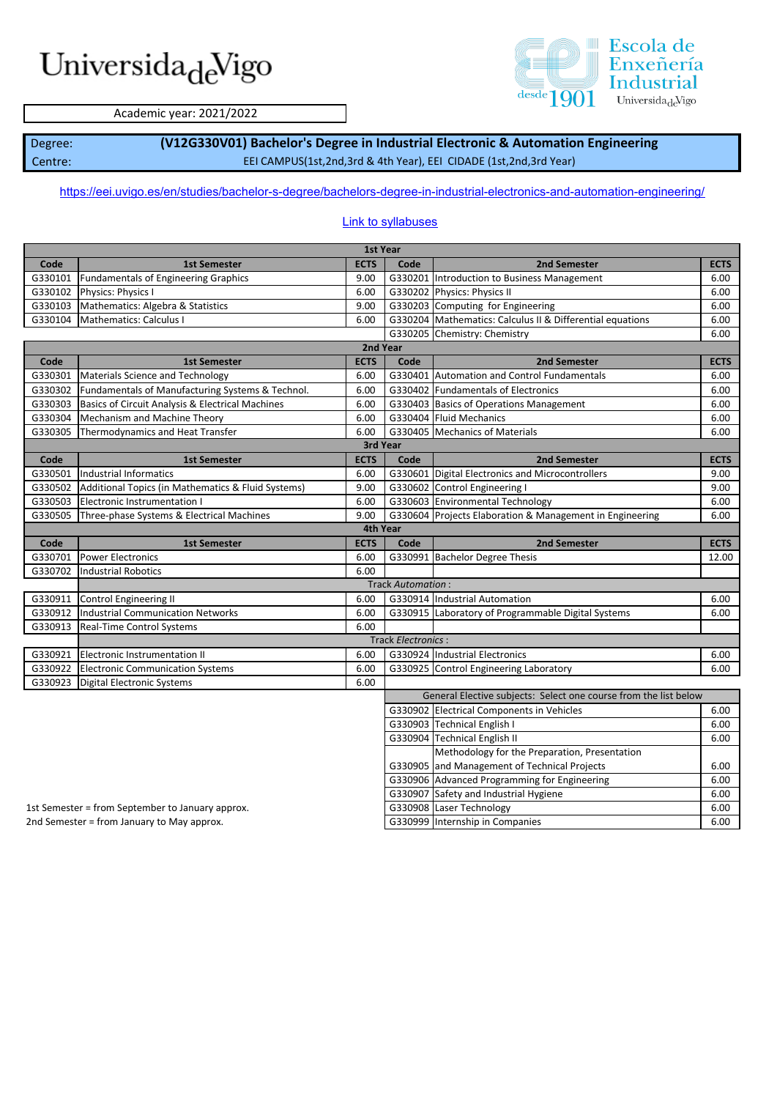

Academic year: 2021/2022

Degree: Centre:

**(V12G330V01) Bachelor's Degree in Industrial Electronic & Automation Engineering** EEI CAMPUS(1st,2nd,3rd & 4th Year), EEI CIDADE (1st,2nd,3rd Year)

<https://eei.uvigo.es/en/studies/bachelor-s-degree/bachelors-degree-in-industrial-electronics-and-automation-engineering/>

#### [Link to syllabuses](https://secretaria.uvigo.gal/docnet-nuevo/guia_docent/?centre=312&ensenyament=V12G330V01&consulta=assignatures&idioma=eng)

| <b>1st Year</b> |                                                             |             |                           |                                                                  |             |  |  |  |
|-----------------|-------------------------------------------------------------|-------------|---------------------------|------------------------------------------------------------------|-------------|--|--|--|
| Code            | <b>1st Semester</b>                                         | <b>ECTS</b> | Code                      | 2nd Semester                                                     | <b>ECTS</b> |  |  |  |
| G330101         | <b>Fundamentals of Engineering Graphics</b>                 | 9.00        |                           | G330201 Introduction to Business Management                      | 6.00        |  |  |  |
| G330102         | Physics: Physics I                                          | 6.00        |                           | G330202 Physics: Physics II                                      | 6.00        |  |  |  |
| G330103         | Mathematics: Algebra & Statistics                           | 9.00        |                           | G330203 Computing for Engineering                                | 6.00        |  |  |  |
| G330104         | Mathematics: Calculus I                                     | 6.00        |                           | G330204 Mathematics: Calculus II & Differential equations        | 6.00        |  |  |  |
|                 |                                                             |             |                           | G330205 Chemistry: Chemistry                                     | 6.00        |  |  |  |
|                 |                                                             | 2nd Year    |                           |                                                                  |             |  |  |  |
| Code            | <b>1st Semester</b>                                         | <b>ECTS</b> | Code                      | <b>2nd Semester</b>                                              | <b>ECTS</b> |  |  |  |
| G330301         | Materials Science and Technology                            | 6.00        | G330401                   | <b>Automation and Control Fundamentals</b>                       | 6.00        |  |  |  |
| G330302         | Fundamentals of Manufacturing Systems & Technol.            | 6.00        |                           | G330402 Fundamentals of Electronics                              | 6.00        |  |  |  |
| G330303         | <b>Basics of Circuit Analysis &amp; Electrical Machines</b> | 6.00        | G330403                   | <b>Basics of Operations Management</b>                           | 6.00        |  |  |  |
| G330304         | Mechanism and Machine Theory                                | 6.00        |                           | G330404 Fluid Mechanics                                          | 6.00        |  |  |  |
| G330305         | Thermodynamics and Heat Transfer                            | 6.00        |                           | G330405 Mechanics of Materials                                   | 6.00        |  |  |  |
| 3rd Year        |                                                             |             |                           |                                                                  |             |  |  |  |
| Code            | <b>1st Semester</b>                                         | <b>ECTS</b> | Code                      | 2nd Semester                                                     | <b>ECTS</b> |  |  |  |
| G330501         | Industrial Informatics                                      | 6.00        |                           | G330601 Digital Electronics and Microcontrollers                 | 9.00        |  |  |  |
| G330502         | Additional Topics (in Mathematics & Fluid Systems)          | 9.00        |                           | G330602 Control Engineering I                                    | 9.00        |  |  |  |
| G330503         | Electronic Instrumentation I                                | 6.00        |                           | G330603 Environmental Technology                                 | 6.00        |  |  |  |
| G330505         | Three-phase Systems & Electrical Machines                   | 9.00        |                           | G330604 Projects Elaboration & Management in Engineering         | 6.00        |  |  |  |
|                 |                                                             | 4th Year    |                           |                                                                  |             |  |  |  |
|                 |                                                             |             |                           |                                                                  |             |  |  |  |
| Code            | <b>1st Semester</b>                                         | <b>ECTS</b> | Code                      | <b>2nd Semester</b>                                              | <b>ECTS</b> |  |  |  |
| G330701         | <b>Power Electronics</b>                                    | 6.00        |                           | G330991 Bachelor Degree Thesis                                   | 12.00       |  |  |  |
| G330702         | <b>Industrial Robotics</b>                                  | 6.00        |                           |                                                                  |             |  |  |  |
|                 |                                                             |             | Track Automation:         |                                                                  |             |  |  |  |
| G330911         | <b>Control Engineering II</b>                               | 6.00        |                           | G330914 Industrial Automation                                    | 6.00        |  |  |  |
| G330912         | <b>Industrial Communication Networks</b>                    | 6.00        |                           | G330915 Laboratory of Programmable Digital Systems               | 6.00        |  |  |  |
| G330913         | <b>Real-Time Control Systems</b>                            | 6.00        |                           |                                                                  |             |  |  |  |
|                 |                                                             |             | <b>Track Electronics:</b> |                                                                  |             |  |  |  |
| G330921         | Electronic Instrumentation II                               | 6.00        |                           | G330924 Industrial Electronics                                   | 6.00        |  |  |  |
| G330922         | <b>Electronic Communication Systems</b>                     | 6.00        |                           | G330925 Control Engineering Laboratory                           | 6.00        |  |  |  |
| G330923         | <b>Digital Electronic Systems</b>                           | 6.00        |                           |                                                                  |             |  |  |  |
|                 |                                                             |             |                           | General Elective subjects: Select one course from the list below |             |  |  |  |
|                 |                                                             |             |                           | G330902 Electrical Components in Vehicles                        | 6.00        |  |  |  |
|                 |                                                             |             |                           | G330903 Technical English I                                      | 6.00        |  |  |  |
|                 |                                                             |             |                           | G330904 Technical English II                                     | 6.00        |  |  |  |
|                 |                                                             |             |                           | Methodology for the Preparation, Presentation                    |             |  |  |  |
|                 |                                                             |             |                           | G330905 and Management of Technical Projects                     | 6.00        |  |  |  |
|                 |                                                             |             |                           | G330906 Advanced Programming for Engineering                     | 6.00        |  |  |  |
|                 |                                                             |             |                           | G330907 Safety and Industrial Hygiene                            | 6.00        |  |  |  |
|                 | 1st Semester = from September to January approx.            |             |                           | G330908 Laser Technology                                         | 6.00        |  |  |  |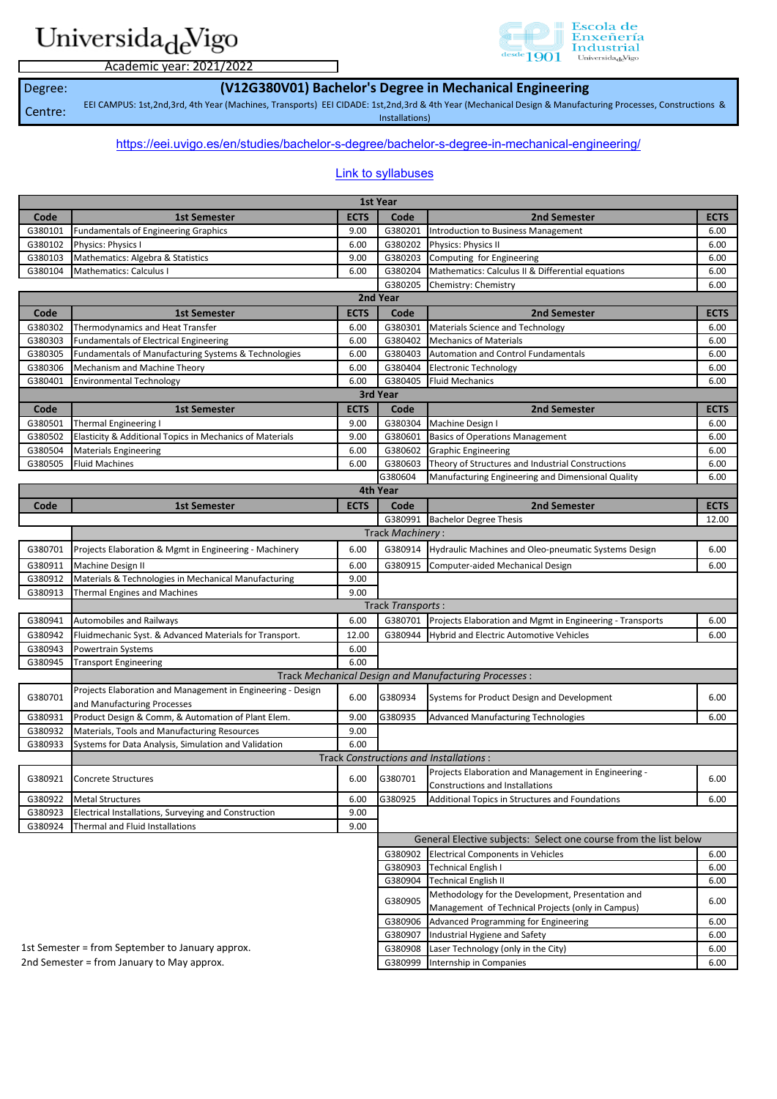

Academic year: 2021/2022

**(V12G380V01) Bachelor's Degree in Mechanical Engineering**

Degree: Centre:

EEI CAMPUS: 1st,2nd,3rd, 4th Year (Machines, Transports) EEI CIDADE: 1st,2nd,3rd & 4th Year (Mechanical Design & Manufacturing Processes, Constructions &

Installations)

#### <https://eei.uvigo.es/en/studies/bachelor-s-degree/bachelor-s-degree-in-mechanical-engineering/>

#### **[Link to syllabuses](https://secretaria.uvigo.gal/docnet-nuevo/guia_docent/?centre=312&ensenyament=V12G380V01&consulta=assignatures&idioma=eng)**

| 1st Year |                                                             |             |                    |                                                                        |              |  |
|----------|-------------------------------------------------------------|-------------|--------------------|------------------------------------------------------------------------|--------------|--|
| Code     | <b>1st Semester</b>                                         | <b>ECTS</b> | Code               | <b>2nd Semester</b>                                                    | <b>ECTS</b>  |  |
| G380101  | <b>Fundamentals of Engineering Graphics</b>                 | 9.00        | G380201            | Introduction to Business Management                                    | 6.00         |  |
| G380102  | <b>Physics: Physics I</b>                                   | 6.00        | G380202            | <b>Physics: Physics II</b>                                             | 6.00         |  |
| G380103  | Mathematics: Algebra & Statistics                           | 9.00        | G380203            | Computing for Engineering                                              | 6.00         |  |
| G380104  | <b>Mathematics: Calculus I</b>                              | 6.00        | G380204            | Mathematics: Calculus II & Differential equations                      | 6.00         |  |
|          |                                                             |             | G380205            | Chemistry: Chemistry                                                   | 6.00         |  |
|          |                                                             |             | 2nd Year           |                                                                        |              |  |
| Code     | <b>1st Semester</b>                                         | <b>ECTS</b> | Code               | 2nd Semester                                                           | <b>ECTS</b>  |  |
| G380302  | Thermodynamics and Heat Transfer                            | 6.00        | G380301            | <b>Materials Science and Technology</b>                                | 6.00         |  |
| G380303  | <b>Fundamentals of Electrical Engineering</b>               | 6.00        | G380402            | <b>Mechanics of Materials</b>                                          | 6.00         |  |
| G380305  | Fundamentals of Manufacturing Systems & Technologies        | 6.00        | G380403            | <b>Automation and Control Fundamentals</b>                             | 6.00         |  |
| G380306  | Mechanism and Machine Theory                                | 6.00        | G380404            | <b>Electronic Technology</b>                                           | 6.00         |  |
| G380401  | <b>Environmental Technology</b>                             | 6.00        | G380405            | <b>Fluid Mechanics</b>                                                 | 6.00         |  |
|          |                                                             |             | 3rd Year           |                                                                        |              |  |
| Code     | <b>1st Semester</b>                                         | <b>ECTS</b> | Code               | 2nd Semester                                                           | <b>ECTS</b>  |  |
| G380501  | <b>Thermal Engineering I</b>                                | 9.00        | G380304            | Machine Design I                                                       | 6.00         |  |
| G380502  | Elasticity & Additional Topics in Mechanics of Materials    | 9.00        | G380601            | <b>Basics of Operations Management</b>                                 | 6.00         |  |
| G380504  | <b>Materials Engineering</b>                                | 6.00        | G380602            | <b>Graphic Engineering</b>                                             | 6.00         |  |
| G380505  | <b>Fluid Machines</b>                                       | 6.00        | G380603            | Theory of Structures and Industrial Constructions                      | 6.00         |  |
|          |                                                             |             | G380604            | Manufacturing Engineering and Dimensional Quality                      | 6.00         |  |
|          |                                                             |             | 4th Year           |                                                                        |              |  |
| Code     | <b>1st Semester</b>                                         | <b>ECTS</b> | Code               | 2nd Semester                                                           | <b>ECTS</b>  |  |
|          |                                                             |             | G380991            | <b>Bachelor Degree Thesis</b>                                          | 12.00        |  |
|          |                                                             |             | Track Machinery:   |                                                                        |              |  |
| G380701  | Projects Elaboration & Mgmt in Engineering - Machinery      | 6.00        | G380914            | Hydraulic Machines and Oleo-pneumatic Systems Design                   | 6.00         |  |
| G380911  | Machine Design II                                           | 6.00        | G380915            | Computer-aided Mechanical Design                                       | 6.00         |  |
| G380912  | Materials & Technologies in Mechanical Manufacturing        | 9.00        |                    |                                                                        |              |  |
| G380913  | <b>Thermal Engines and Machines</b>                         | 9.00        |                    |                                                                        |              |  |
|          |                                                             |             | Track Transports:  |                                                                        |              |  |
| G380941  | <b>Automobiles and Railways</b>                             | 6.00        | G380701            | Projects Elaboration and Mgmt in Engineering - Transports              | 6.00         |  |
| G380942  | Fluidmechanic Syst. & Advanced Materials for Transport.     | 12.00       | G380944            | <b>Hybrid and Electric Automotive Vehicles</b>                         | 6.00         |  |
| G380943  | <b>Powertrain Systems</b>                                   | 6.00        |                    |                                                                        |              |  |
| G380945  | <b>Transport Engineering</b>                                | 6.00        |                    |                                                                        |              |  |
|          |                                                             |             |                    | Track Mechanical Design and Manufacturing Processes:                   |              |  |
| G380701  | Projects Elaboration and Management in Engineering - Design | 6.00        | G380934            | Systems for Product Design and Development                             | 6.00         |  |
|          | and Manufacturing Processes                                 |             |                    |                                                                        |              |  |
| G380931  | Product Design & Comm, & Automation of Plant Elem.          | 9.00        | G380935            | <b>Advanced Manufacturing Technologies</b>                             | 6.00         |  |
| G380932  | Materials, Tools and Manufacturing Resources                | 9.00        |                    |                                                                        |              |  |
| G380933  | Systems for Data Analysis, Simulation and Validation        | 6.00        |                    |                                                                        |              |  |
|          |                                                             |             |                    | Track Constructions and Installations:                                 |              |  |
|          | G380921 Concrete Structures                                 | 6.00        | G380701            | Projects Elaboration and Management in Engineering -                   | 6.00         |  |
|          |                                                             |             |                    | Constructions and Installations                                        |              |  |
| G380922  | <b>Metal Structures</b>                                     | 6.00        | G380925            | Additional Topics in Structures and Foundations                        | 6.00         |  |
| G380923  | Electrical Installations, Surveying and Construction        | 9.00        |                    |                                                                        |              |  |
| G380924  | Thermal and Fluid Installations                             | 9.00        |                    | General Elective subjects: Select one course from the list below       |              |  |
|          |                                                             |             |                    |                                                                        |              |  |
|          |                                                             |             | G380902<br>G380903 | <b>Electrical Components in Vehicles</b><br><b>Technical English I</b> | 6.00         |  |
|          |                                                             |             | G380904            | <b>Technical English II</b>                                            | 6.00<br>6.00 |  |
|          |                                                             |             |                    | Methodology for the Development, Presentation and                      |              |  |
|          |                                                             |             | G380905            | Management of Technical Projects (only in Campus)                      | 6.00         |  |
|          |                                                             |             | G380906            | Advanced Programming for Engineering                                   | 6.00         |  |
|          |                                                             |             | G380907            | Industrial Hygiene and Safety                                          | 6.00         |  |
|          | 1st Semester = from September to January approx.            |             | G380908            | Laser Technology (only in the City)                                    | 6.00         |  |
|          | 2nd Semester = from January to May approx.                  |             | G380999            | Internship in Companies                                                | 6.00         |  |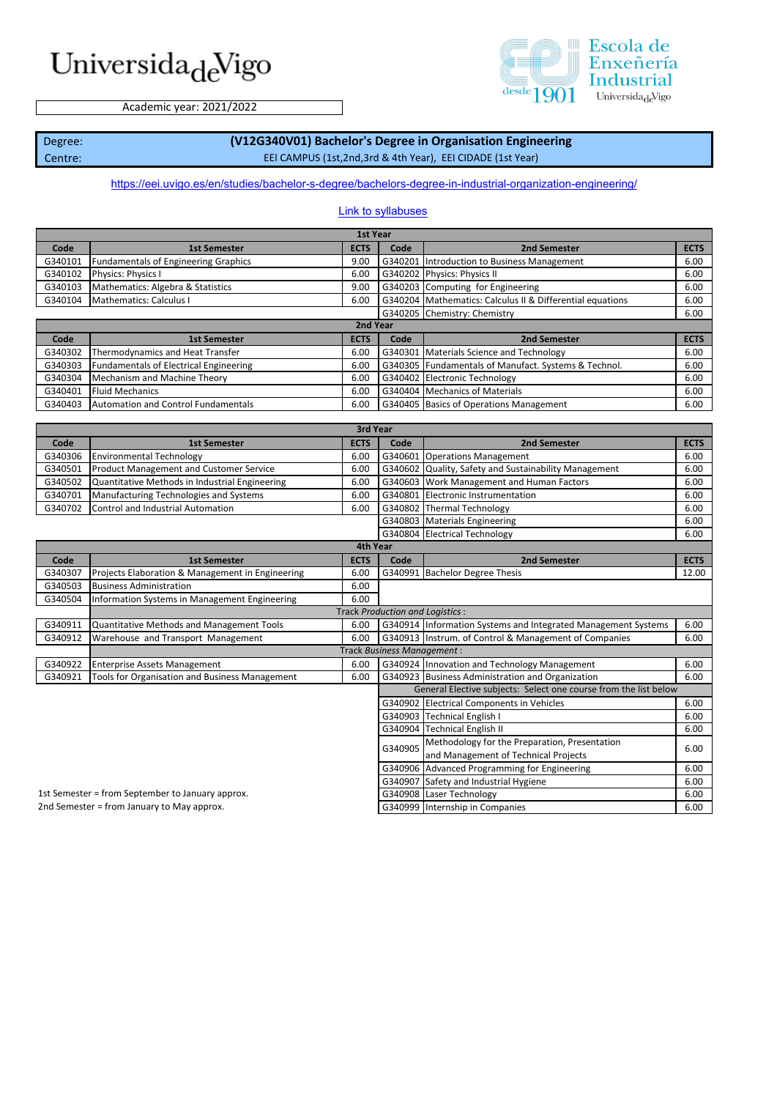

G340908 Laser Technology 6.00

G340999 Internship in Companies

Academic year: 2021/2022

Degree: Centre:

#### **(V12G340V01) Bachelor's Degree in Organisation Engineering**

EEI CAMPUS (1st,2nd,3rd & 4th Year), EEI CIDADE (1st Year)

#### <https://eei.uvigo.es/en/studies/bachelor-s-degree/bachelors-degree-in-industrial-organization-engineering/>

#### **[Link to syllabuses](https://secretaria.uvigo.gal/docnet-nuevo/guia_docent/?centre=312&ensenyament=V12G340V01&consulta=assignatures&idioma=eng)**

| 1st Year |                                               |             |      |                                                           |             |  |
|----------|-----------------------------------------------|-------------|------|-----------------------------------------------------------|-------------|--|
| Code     | <b>1st Semester</b>                           | <b>ECTS</b> | Code | <b>2nd Semester</b>                                       | <b>ECTS</b> |  |
| G340101  | Fundamentals of Engineering Graphics          | 9.00        |      | G340201 Introduction to Business Management               | 6.00        |  |
| G340102  | Physics: Physics I                            | 6.00        |      | G340202 Physics: Physics II                               | 6.00        |  |
| G340103  | Mathematics: Algebra & Statistics             | 9.00        |      | G340203 Computing for Engineering                         | 6.00        |  |
| G340104  | Mathematics: Calculus I                       | 6.00        |      | G340204 Mathematics: Calculus II & Differential equations | 6.00        |  |
|          |                                               |             |      | G340205 Chemistry: Chemistry                              | 6.00        |  |
|          |                                               | 2nd Year    |      |                                                           |             |  |
| Code     | <b>1st Semester</b>                           | <b>ECTS</b> | Code | <b>2nd Semester</b>                                       | <b>ECTS</b> |  |
| G340302  | Thermodynamics and Heat Transfer              | 6.00        |      | G340301 Materials Science and Technology                  | 6.00        |  |
| G340303  | <b>Fundamentals of Electrical Engineering</b> | 6.00        |      | G340305 Fundamentals of Manufact. Systems & Technol.      | 6.00        |  |
| G340304  | Mechanism and Machine Theory                  | 6.00        |      | G340402 Electronic Technology                             | 6.00        |  |
| G340401  | <b>Fluid Mechanics</b>                        | 6.00        |      | G340404 Mechanics of Materials                            | 6.00        |  |
| G340403  | Automation and Control Fundamentals           | 6.00        |      | G340405 Basics of Operations Management                   | 6.00        |  |

| 3rd Year |                                                  |             |                                 |                                                                  |             |  |  |
|----------|--------------------------------------------------|-------------|---------------------------------|------------------------------------------------------------------|-------------|--|--|
| Code     | <b>1st Semester</b>                              | <b>ECTS</b> | Code                            | <b>2nd Semester</b>                                              | <b>ECTS</b> |  |  |
| G340306  | <b>Environmental Technology</b>                  | 6.00        | G340601                         | <b>Operations Management</b>                                     | 6.00        |  |  |
| G340501  | <b>Product Management and Customer Service</b>   | 6.00        | G340602                         | Quality, Safety and Sustainability Management                    | 6.00        |  |  |
| G340502  | Quantitative Methods in Industrial Engineering   | 6.00        | G340603                         | Work Management and Human Factors                                | 6.00        |  |  |
| G340701  | Manufacturing Technologies and Systems           | 6.00        | G340801                         | Electronic Instrumentation                                       | 6.00        |  |  |
| G340702  | Control and Industrial Automation                | 6.00        | G340802                         | <b>Thermal Technology</b>                                        | 6.00        |  |  |
|          |                                                  |             |                                 | G340803 Materials Engineering                                    | 6.00        |  |  |
|          |                                                  |             |                                 | G340804 Electrical Technology                                    | 6.00        |  |  |
|          |                                                  | 4th Year    |                                 |                                                                  |             |  |  |
| Code     | <b>1st Semester</b>                              | <b>ECTS</b> | Code                            | 2nd Semester                                                     | <b>ECTS</b> |  |  |
| G340307  | Projects Elaboration & Management in Engineering | 6.00        |                                 | G340991 Bachelor Degree Thesis                                   | 12.00       |  |  |
| G340503  | <b>Business Administration</b>                   | 6.00        |                                 |                                                                  |             |  |  |
| G340504  | Information Systems in Management Engineering    | 6.00        |                                 |                                                                  |             |  |  |
|          |                                                  |             | Track Production and Logistics: |                                                                  |             |  |  |
| G340911  | Quantitative Methods and Management Tools        | 6.00        |                                 | G340914 Information Systems and Integrated Management Systems    | 6.00        |  |  |
| G340912  | Warehouse and Transport Management               | 6.00        |                                 | G340913 Instrum. of Control & Management of Companies            | 6.00        |  |  |
|          |                                                  |             | Track Business Management:      |                                                                  |             |  |  |
| G340922  | <b>Enterprise Assets Management</b>              | 6.00        |                                 | G340924 Innovation and Technology Management                     | 6.00        |  |  |
| G340921  | Tools for Organisation and Business Management   | 6.00        |                                 | G340923 Business Administration and Organization                 | 6.00        |  |  |
|          |                                                  |             |                                 | General Elective subjects: Select one course from the list below |             |  |  |
|          |                                                  |             |                                 | G340902 Electrical Components in Vehicles                        | 6.00        |  |  |
|          |                                                  |             |                                 | G340903 Technical English I                                      | 6.00        |  |  |
|          |                                                  |             |                                 | G340904 Technical English II                                     | 6.00        |  |  |
|          |                                                  |             | G340905                         | Methodology for the Preparation, Presentation                    | 6.00        |  |  |
|          |                                                  |             |                                 | and Management of Technical Projects                             |             |  |  |
|          |                                                  |             |                                 | G340906 Advanced Programming for Engineering                     | 6.00        |  |  |
|          |                                                  |             |                                 | G340907 Safety and Industrial Hygiene                            | 6.00        |  |  |

2nd Semester = from January to May approx. 1st Semester = from September to January approx.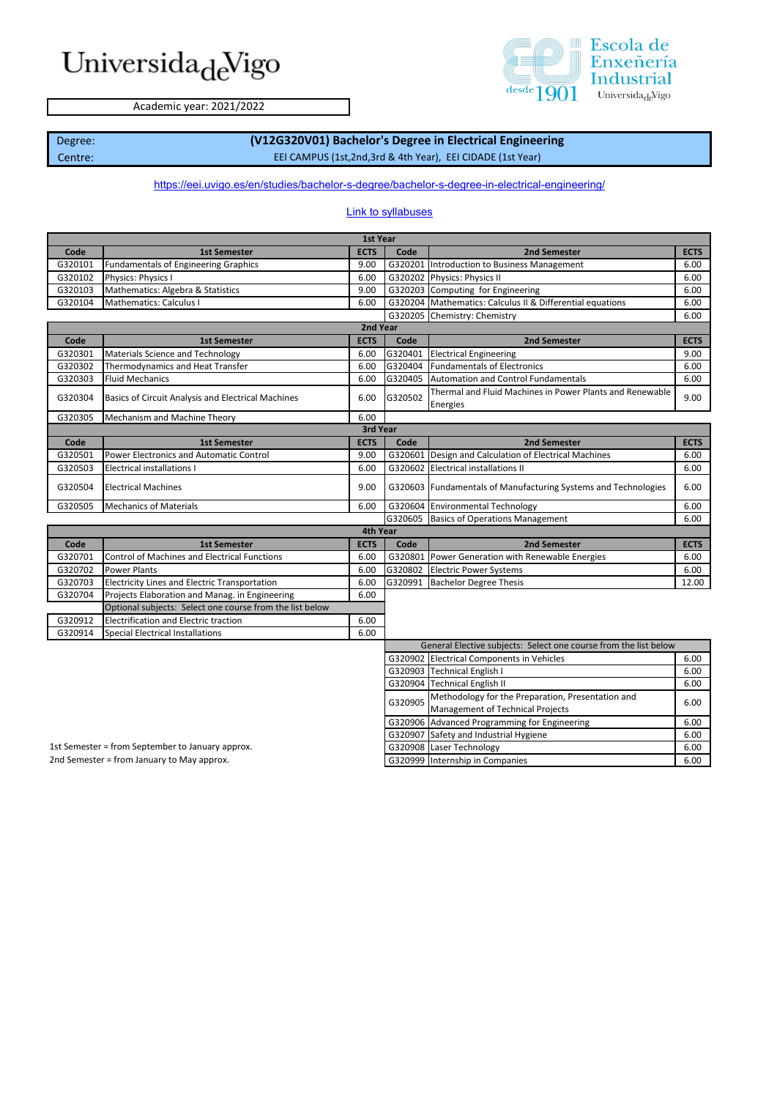

G320908 Laser Technology 6.00

G320999 Internship in Companies

Academic year: 2021/2022

Degree: Centre:

#### **(V12G320V01) Bachelor's Degree in Electrical Engineering** EEI CAMPUS (1st,2nd,3rd & 4th Year), EEI CIDADE (1st Year)

#### <https://eei.uvigo.es/en/studies/bachelor-s-degree/bachelor-s-degree-in-electrical-engineering/>

#### **[Link to syllabuses](https://secretaria.uvigo.gal/docnet-nuevo/guia_docent/?centre=312&ensenyament=V12G320V01&consulta=assignatures&idioma=eng)**

|         | 1st Year                                                 |             |         |                                                                             |             |  |  |  |
|---------|----------------------------------------------------------|-------------|---------|-----------------------------------------------------------------------------|-------------|--|--|--|
| Code    | <b>1st Semester</b>                                      | <b>ECTS</b> | Code    | 2nd Semester                                                                | <b>ECTS</b> |  |  |  |
| G320101 | <b>Fundamentals of Engineering Graphics</b>              | 9.00        |         | G320201 Introduction to Business Management                                 | 6.00        |  |  |  |
| G320102 | Physics: Physics I                                       | 6.00        |         | G320202 Physics: Physics II                                                 | 6.00        |  |  |  |
| G320103 | Mathematics: Algebra & Statistics                        | 9.00        |         | G320203 Computing for Engineering                                           | 6.00        |  |  |  |
| G320104 | Mathematics: Calculus I                                  | 6.00        |         | G320204 Mathematics: Calculus II & Differential equations                   | 6.00        |  |  |  |
|         |                                                          |             |         | G320205 Chemistry: Chemistry                                                | 6.00        |  |  |  |
|         |                                                          | 2nd Year    |         |                                                                             |             |  |  |  |
| Code    | <b>1st Semester</b>                                      | <b>ECTS</b> | Code    | 2nd Semester                                                                | <b>ECTS</b> |  |  |  |
| G320301 | Materials Science and Technology                         | 6.00        | G320401 | <b>Electrical Engineering</b>                                               | 9.00        |  |  |  |
| G320302 | Thermodynamics and Heat Transfer                         | 6.00        | G320404 | <b>Fundamentals of Electronics</b>                                          | 6.00        |  |  |  |
| G320303 | <b>Fluid Mechanics</b>                                   | 6.00        | G320405 | <b>Automation and Control Fundamentals</b>                                  | 6.00        |  |  |  |
| G320304 | Basics of Circuit Analysis and Electrical Machines       | 6.00        | G320502 | Thermal and Fluid Machines in Power Plants and Renewable<br><b>Energies</b> | 9.00        |  |  |  |
| G320305 | Mechanism and Machine Theory                             | 6.00        |         |                                                                             |             |  |  |  |
|         |                                                          | 3rd Year    |         |                                                                             |             |  |  |  |
| Code    | <b>1st Semester</b>                                      | <b>ECTS</b> | Code    | 2nd Semester                                                                | <b>ECTS</b> |  |  |  |
| G320501 | <b>Power Electronics and Automatic Control</b>           | 9.00        | G320601 | Design and Calculation of Electrical Machines                               | 6.00        |  |  |  |
| G320503 | <b>Electrical installations I</b>                        | 6.00        |         | G320602 Electrical installations II                                         | 6.00        |  |  |  |
| G320504 | <b>Electrical Machines</b>                               | 9.00        |         | G320603 Fundamentals of Manufacturing Systems and Technologies              | 6.00        |  |  |  |
| G320505 | <b>Mechanics of Materials</b>                            | 6.00        |         | G320604 Environmental Technology                                            | 6.00        |  |  |  |
|         |                                                          |             | G320605 | <b>Basics of Operations Management</b>                                      | 6.00        |  |  |  |
|         |                                                          | 4th Year    |         |                                                                             |             |  |  |  |
| Code    | <b>1st Semester</b>                                      | <b>ECTS</b> | Code    | 2nd Semester                                                                | <b>ECTS</b> |  |  |  |
| G320701 | <b>Control of Machines and Electrical Functions</b>      | 6.00        | G320801 | Power Generation with Renewable Energies                                    | 6.00        |  |  |  |
| G320702 | <b>Power Plants</b>                                      | 6.00        | G320802 | <b>Electric Power Systems</b>                                               | 6.00        |  |  |  |
| G320703 | Electricity Lines and Electric Transportation            | 6.00        | G320991 | <b>Bachelor Degree Thesis</b>                                               | 12.00       |  |  |  |
| G320704 | Projects Elaboration and Manag. in Engineering           | 6.00        |         |                                                                             |             |  |  |  |
|         | Optional subjects: Select one course from the list below |             |         |                                                                             |             |  |  |  |
| G320912 | <b>Electrification and Electric traction</b>             | 6.00        |         |                                                                             |             |  |  |  |
| G320914 | <b>Special Electrical Installations</b>                  | 6.00        |         |                                                                             |             |  |  |  |
|         |                                                          |             |         | General Elective subjects: Select one course from the list below            |             |  |  |  |
|         |                                                          |             |         | G320902 Electrical Components in Vehicles                                   | 6.00        |  |  |  |
|         |                                                          |             |         | G320903 Technical English I                                                 | 6.00        |  |  |  |
|         |                                                          |             |         | G320904 Technical English II                                                | 6.00        |  |  |  |
|         |                                                          |             | G320905 | Methodology for the Preparation, Presentation and                           | 6.00        |  |  |  |
|         |                                                          |             |         | Management of Technical Projects                                            |             |  |  |  |
|         |                                                          |             |         | G320906 Advanced Programming for Engineering                                | 6.00        |  |  |  |
|         |                                                          |             |         | G320907 Safety and Industrial Hygiene                                       | 6.00        |  |  |  |

2nd Semester = from January to May approx. 1st Semester = from September to January approx.